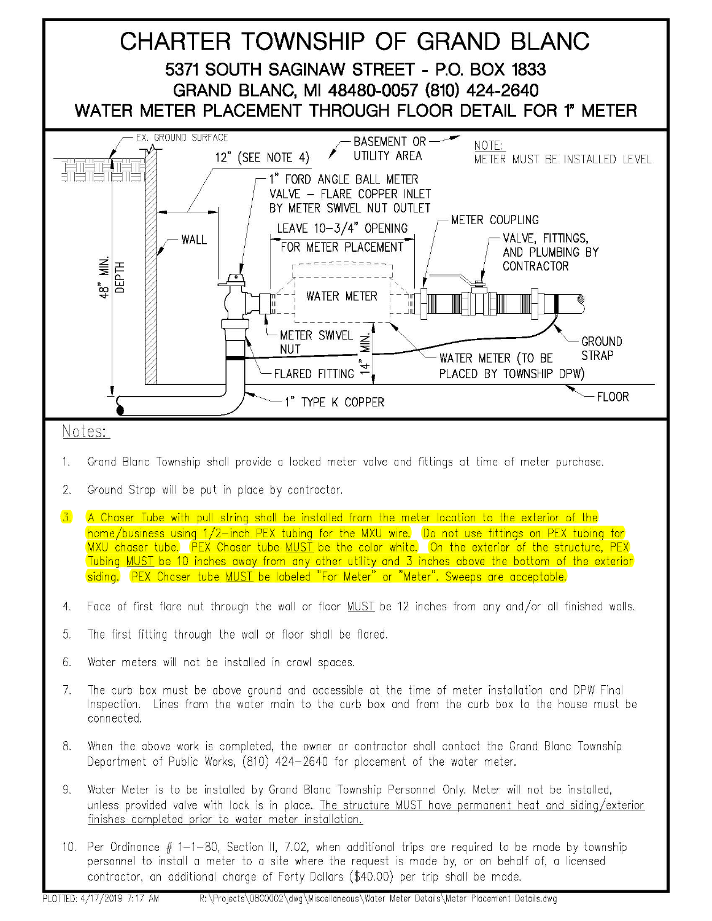

- 1. Grand Blanc Township shall provide a locked meter valve and fittings at time of meter purchase.
- 2. Ground Strap will be put in place by contractor.
- 3. A Chaser Tube with pull string shall be installed from the meter location to the exterior of the home/business using 1/2-inch PEX tubing for the MXU wire. Do not use fittings on PEX tubing for MXU chaser tube. PEX Chaser tube MUST be the color white. On the exterior of the structure, PEX Tubing MUST be 10 inches away from any other utility and 3 inches above the bottom of the exterior siding. PEX Chaser tube MUST be labeled "For Meter" or "Meter". Sweeps are acceptable.
- 4. Face of first flare nut through the wall or floor MUST be 12 inches from any and/or all finished walls.
- 5. The first fitting through the wall or floor shall be flared.
- 6. Water meters will not be installed in crawl spaces.
- 7. The curb box must be above ground and accessible at the time of meter installation and DPW Final Inspection. Lines from the water main to the curb box and from the curb box to the house must be connected.
- 8. When the above work is completed, the owner or contractor shall contact the Grand Blanc Township Department of Public Works, (810) 424-2640 for placement of the water meter.
- 9. Water Meter is to be installed by Grand Blanc Township Personnel Only. Meter will not be installed, unless provided valve with lock is in place. The structure MUST have permanent heat and siding/exterior finishes completed prior to water meter installation.
- 10. Per Ordinance  $# 1-1-80$ , Section II, 7.02, when additional trips are required to be made by township personnel to install a meter to a site where the request is made by, or on behalf of, a licensed contractor, an additional charge of Forty Dollars (\$40.00) per trip shall be made.